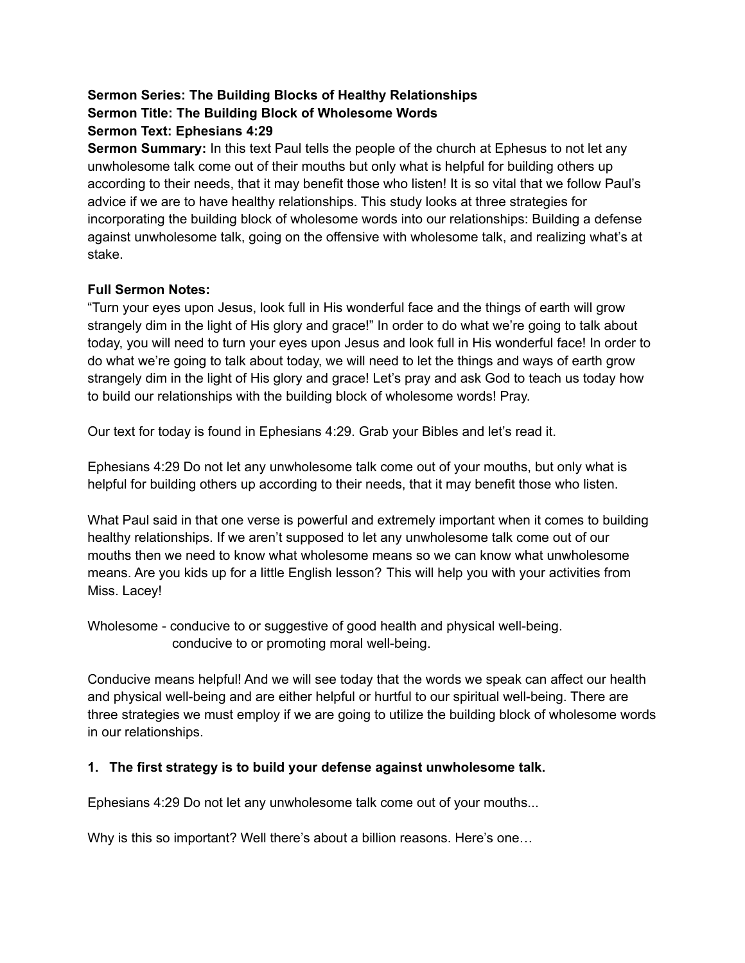# **Sermon Series: The Building Blocks of Healthy Relationships Sermon Title: The Building Block of Wholesome Words Sermon Text: Ephesians 4:29**

**Sermon Summary:** In this text Paul tells the people of the church at Ephesus to not let any unwholesome talk come out of their mouths but only what is helpful for building others up according to their needs, that it may benefit those who listen! It is so vital that we follow Paul's advice if we are to have healthy relationships. This study looks at three strategies for incorporating the building block of wholesome words into our relationships: Building a defense against unwholesome talk, going on the offensive with wholesome talk, and realizing what's at stake.

### **Full Sermon Notes:**

"Turn your eyes upon Jesus, look full in His wonderful face and the things of earth will grow strangely dim in the light of His glory and grace!" In order to do what we're going to talk about today, you will need to turn your eyes upon Jesus and look full in His wonderful face! In order to do what we're going to talk about today, we will need to let the things and ways of earth grow strangely dim in the light of His glory and grace! Let's pray and ask God to teach us today how to build our relationships with the building block of wholesome words! Pray.

Our text for today is found in Ephesians 4:29. Grab your Bibles and let's read it.

Ephesians 4:29 Do not let any unwholesome talk come out of your mouths, but only what is helpful for building others up according to their needs, that it may benefit those who listen.

What Paul said in that one verse is powerful and extremely important when it comes to building healthy relationships. If we aren't supposed to let any unwholesome talk come out of our mouths then we need to know what wholesome means so we can know what unwholesome means. Are you kids up for a little English lesson? This will help you with your activities from Miss. Lacey!

Wholesome - conducive to or suggestive of good health and physical well-being. conducive to or promoting moral well-being.

Conducive means helpful! And we will see today that the words we speak can affect our health and physical well-being and are either helpful or hurtful to our spiritual well-being. There are three strategies we must employ if we are going to utilize the building block of wholesome words in our relationships.

### **1. The first strategy is to build your defense against unwholesome talk.**

Ephesians 4:29 Do not let any unwholesome talk come out of your mouths...

Why is this so important? Well there's about a billion reasons. Here's one...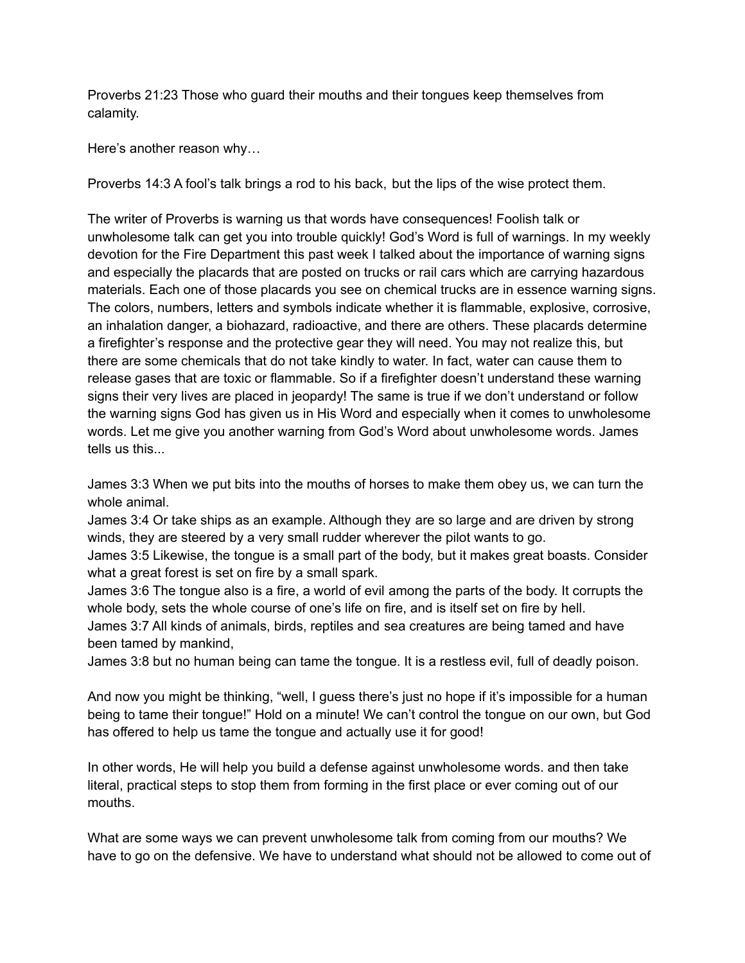Proverbs 21:23 Those who guard their mouths and their tongues keep themselves from calamity.

Here's another reason why…

Proverbs 14:3 A fool's talk brings a rod to his back, but the lips of the wise protect them.

The writer of Proverbs is warning us that words have consequences! Foolish talk or unwholesome talk can get you into trouble quickly! God's Word is full of warnings. In my weekly devotion for the Fire Department this past week I talked about the importance of warning signs and especially the placards that are posted on trucks or rail cars which are carrying hazardous materials. Each one of those placards you see on chemical trucks are in essence warning signs. The colors, numbers, letters and symbols indicate whether it is flammable, explosive, corrosive, an inhalation danger, a biohazard, radioactive, and there are others. These placards determine a firefighter's response and the protective gear they will need. You may not realize this, but there are some chemicals that do not take kindly to water. In fact, water can cause them to release gases that are toxic or flammable. So if a firefighter doesn't understand these warning signs their very lives are placed in jeopardy! The same is true if we don't understand or follow the warning signs God has given us in His Word and especially when it comes to unwholesome words. Let me give you another warning from God's Word about unwholesome words. James tells us this...

James 3:3 When we put bits into the mouths of horses to make them obey us, we can turn the whole animal.

James 3:4 Or take ships as an example. Although they are so large and are driven by strong winds, they are steered by a very small rudder wherever the pilot wants to go.

James 3:5 Likewise, the tongue is a small part of the body, but it makes great boasts. Consider what a great forest is set on fire by a small spark.

James 3:6 The tongue also is a fire, a world of evil among the parts of the body. It corrupts the whole body, sets the whole course of one's life on fire, and is itself set on fire by hell.

James 3:7 All kinds of animals, birds, reptiles and sea creatures are being tamed and have been tamed by mankind,

James 3:8 but no human being can tame the tongue. It is a restless evil, full of deadly poison.

And now you might be thinking, "well, I guess there's just no hope if it's impossible for a human being to tame their tongue!" Hold on a minute! We can't control the tongue on our own, but God has offered to help us tame the tongue and actually use it for good!

In other words, He will help you build a defense against unwholesome words. and then take literal, practical steps to stop them from forming in the first place or ever coming out of our mouths.

What are some ways we can prevent unwholesome talk from coming from our mouths? We have to go on the defensive. We have to understand what should not be allowed to come out of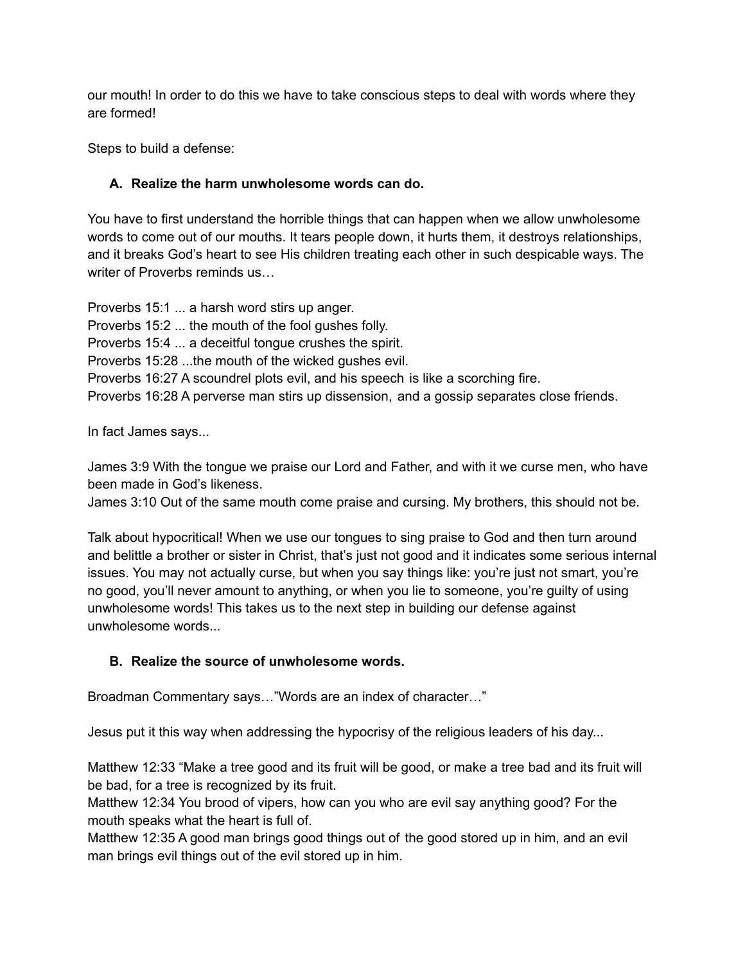our mouth! In order to do this we have to take conscious steps to deal with words where they are formed!

Steps to build a defense:

## **A. Realize the harm unwholesome words can do.**

You have to first understand the horrible things that can happen when we allow unwholesome words to come out of our mouths. It tears people down, it hurts them, it destroys relationships, and it breaks God's heart to see His children treating each other in such despicable ways. The writer of Proverbs reminds us…

Proverbs 15:1 ... a harsh word stirs up anger. Proverbs 15:2 ... the mouth of the fool gushes folly. Proverbs 15:4 ... a deceitful tongue crushes the spirit. Proverbs 15:28 ...the mouth of the wicked gushes evil. Proverbs 16:27 A scoundrel plots evil, and his speech is like a scorching fire. Proverbs 16:28 A perverse man stirs up dissension, and a gossip separates close friends.

In fact James says...

James 3:9 With the tongue we praise our Lord and Father, and with it we curse men, who have been made in God's likeness.

James 3:10 Out of the same mouth come praise and cursing. My brothers, this should not be.

Talk about hypocritical! When we use our tongues to sing praise to God and then turn around and belittle a brother or sister in Christ, that's just not good and it indicates some serious internal issues. You may not actually curse, but when you say things like: you're just not smart, you're no good, you'll never amount to anything, or when you lie to someone, you're guilty of using unwholesome words! This takes us to the next step in building our defense against unwholesome words...

### **B. Realize the source of unwholesome words.**

Broadman Commentary says…"Words are an index of character…"

Jesus put it this way when addressing the hypocrisy of the religious leaders of his day...

Matthew 12:33 "Make a tree good and its fruit will be good, or make a tree bad and its fruit will be bad, for a tree is recognized by its fruit.

Matthew 12:34 You brood of vipers, how can you who are evil say anything good? For the mouth speaks what the heart is full of.

Matthew 12:35 A good man brings good things out of the good stored up in him, and an evil man brings evil things out of the evil stored up in him.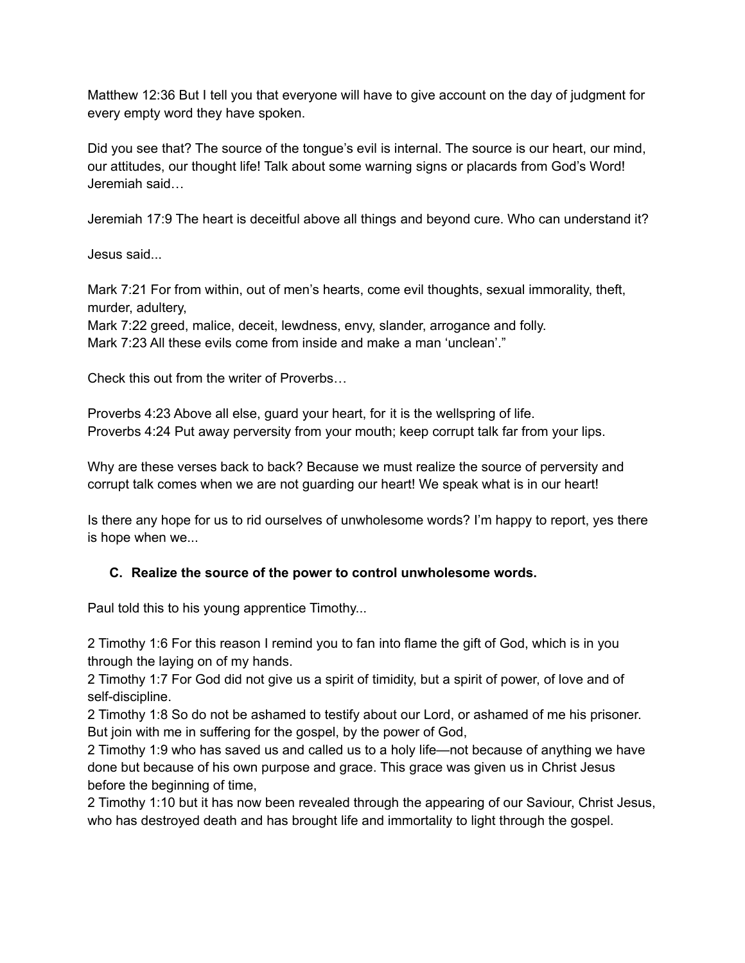Matthew 12:36 But I tell you that everyone will have to give account on the day of judgment for every empty word they have spoken.

Did you see that? The source of the tongue's evil is internal. The source is our heart, our mind, our attitudes, our thought life! Talk about some warning signs or placards from God's Word! Jeremiah said…

Jeremiah 17:9 The heart is deceitful above all things and beyond cure. Who can understand it?

Jesus said...

Mark 7:21 For from within, out of men's hearts, come evil thoughts, sexual immorality, theft, murder, adultery,

Mark 7:22 greed, malice, deceit, lewdness, envy, slander, arrogance and folly. Mark 7:23 All these evils come from inside and make a man 'unclean'."

Check this out from the writer of Proverbs…

Proverbs 4:23 Above all else, guard your heart, for it is the wellspring of life. Proverbs 4:24 Put away perversity from your mouth; keep corrupt talk far from your lips.

Why are these verses back to back? Because we must realize the source of perversity and corrupt talk comes when we are not guarding our heart! We speak what is in our heart!

Is there any hope for us to rid ourselves of unwholesome words? I'm happy to report, yes there is hope when we...

#### **C. Realize the source of the power to control unwholesome words.**

Paul told this to his young apprentice Timothy...

2 Timothy 1:6 For this reason I remind you to fan into flame the gift of God, which is in you through the laying on of my hands.

2 Timothy 1:7 For God did not give us a spirit of timidity, but a spirit of power, of love and of self-discipline.

2 Timothy 1:8 So do not be ashamed to testify about our Lord, or ashamed of me his prisoner. But join with me in suffering for the gospel, by the power of God,

2 Timothy 1:9 who has saved us and called us to a holy life—not because of anything we have done but because of his own purpose and grace. This grace was given us in Christ Jesus before the beginning of time,

2 Timothy 1:10 but it has now been revealed through the appearing of our Saviour, Christ Jesus, who has destroyed death and has brought life and immortality to light through the gospel.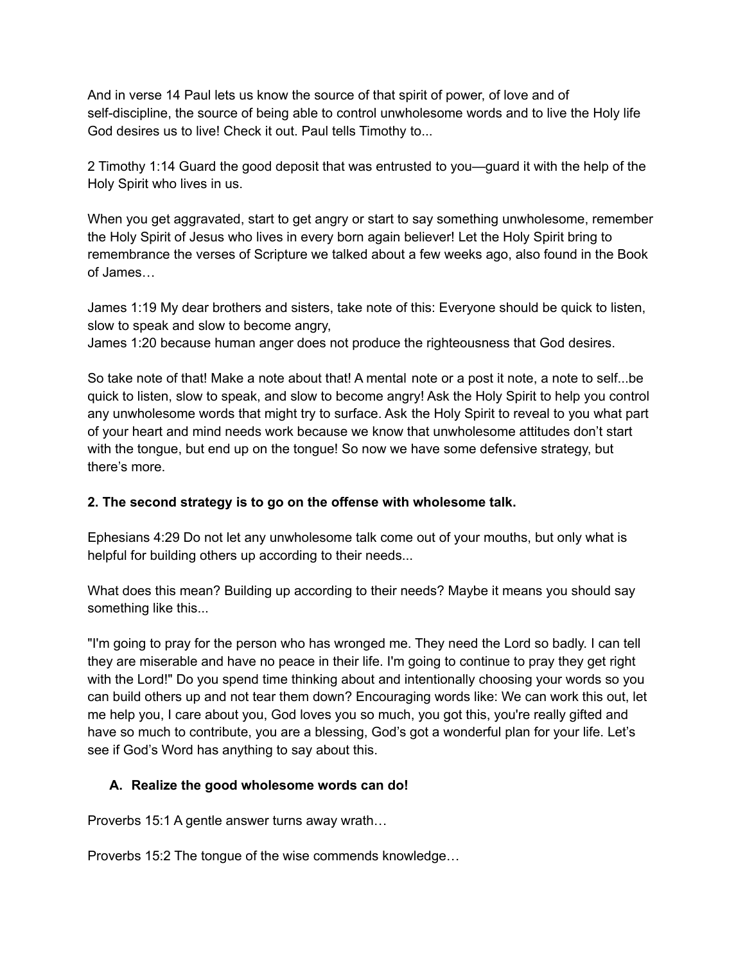And in verse 14 Paul lets us know the source of that spirit of power, of love and of self-discipline, the source of being able to control unwholesome words and to live the Holy life God desires us to live! Check it out. Paul tells Timothy to...

2 Timothy 1:14 Guard the good deposit that was entrusted to you—guard it with the help of the Holy Spirit who lives in us.

When you get aggravated, start to get angry or start to say something unwholesome, remember the Holy Spirit of Jesus who lives in every born again believer! Let the Holy Spirit bring to remembrance the verses of Scripture we talked about a few weeks ago, also found in the Book of James…

James 1:19 My dear brothers and sisters, take note of this: Everyone should be quick to listen, slow to speak and slow to become angry,

James 1:20 because human anger does not produce the righteousness that God desires.

So take note of that! Make a note about that! A mental note or a post it note, a note to self...be quick to listen, slow to speak, and slow to become angry! Ask the Holy Spirit to help you control any unwholesome words that might try to surface. Ask the Holy Spirit to reveal to you what part of your heart and mind needs work because we know that unwholesome attitudes don't start with the tongue, but end up on the tongue! So now we have some defensive strategy, but there's more.

#### **2. The second strategy is to go on the offense with wholesome talk.**

Ephesians 4:29 Do not let any unwholesome talk come out of your mouths, but only what is helpful for building others up according to their needs...

What does this mean? Building up according to their needs? Maybe it means you should say something like this...

"I'm going to pray for the person who has wronged me. They need the Lord so badly. I can tell they are miserable and have no peace in their life. I'm going to continue to pray they get right with the Lord!" Do you spend time thinking about and intentionally choosing your words so you can build others up and not tear them down? Encouraging words like: We can work this out, let me help you, I care about you, God loves you so much, you got this, you're really gifted and have so much to contribute, you are a blessing, God's got a wonderful plan for your life. Let's see if God's Word has anything to say about this.

### **A. Realize the good wholesome words can do!**

Proverbs 15:1 A gentle answer turns away wrath…

Proverbs 15:2 The tongue of the wise commends knowledge…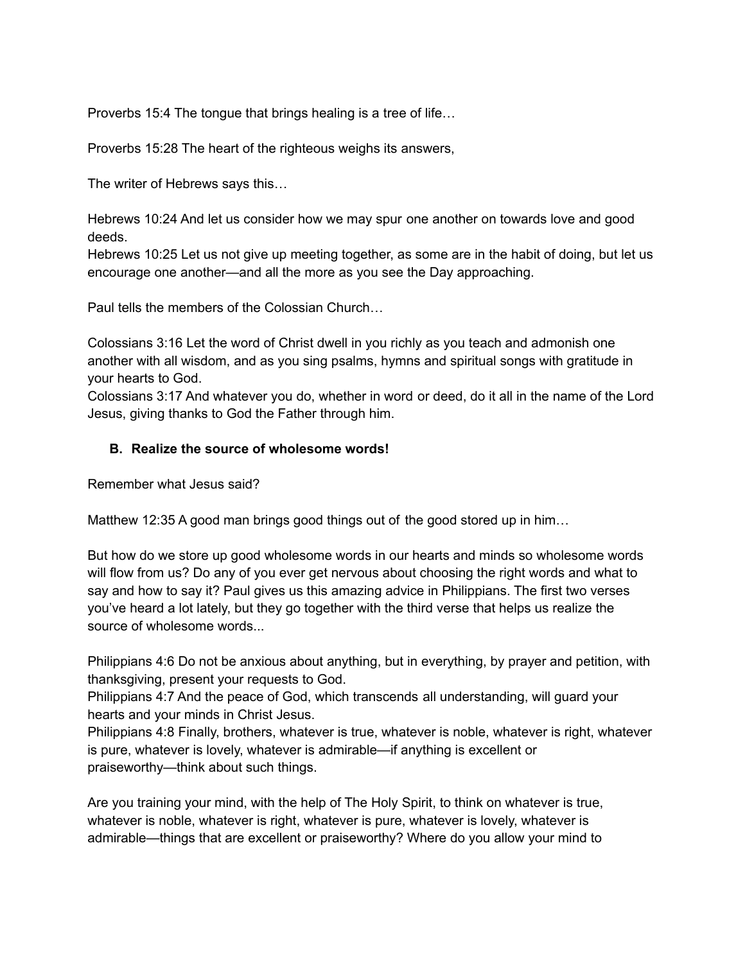Proverbs 15:4 The tongue that brings healing is a tree of life…

Proverbs 15:28 The heart of the righteous weighs its answers,

The writer of Hebrews says this…

Hebrews 10:24 And let us consider how we may spur one another on towards love and good deeds.

Hebrews 10:25 Let us not give up meeting together, as some are in the habit of doing, but let us encourage one another—and all the more as you see the Day approaching.

Paul tells the members of the Colossian Church…

Colossians 3:16 Let the word of Christ dwell in you richly as you teach and admonish one another with all wisdom, and as you sing psalms, hymns and spiritual songs with gratitude in your hearts to God.

Colossians 3:17 And whatever you do, whether in word or deed, do it all in the name of the Lord Jesus, giving thanks to God the Father through him.

#### **B. Realize the source of wholesome words!**

Remember what Jesus said?

Matthew 12:35 A good man brings good things out of the good stored up in him…

But how do we store up good wholesome words in our hearts and minds so wholesome words will flow from us? Do any of you ever get nervous about choosing the right words and what to say and how to say it? Paul gives us this amazing advice in Philippians. The first two verses you've heard a lot lately, but they go together with the third verse that helps us realize the source of wholesome words...

Philippians 4:6 Do not be anxious about anything, but in everything, by prayer and petition, with thanksgiving, present your requests to God.

Philippians 4:7 And the peace of God, which transcends all understanding, will guard your hearts and your minds in Christ Jesus.

Philippians 4:8 Finally, brothers, whatever is true, whatever is noble, whatever is right, whatever is pure, whatever is lovely, whatever is admirable—if anything is excellent or praiseworthy—think about such things.

Are you training your mind, with the help of The Holy Spirit, to think on whatever is true, whatever is noble, whatever is right, whatever is pure, whatever is lovely, whatever is admirable—things that are excellent or praiseworthy? Where do you allow your mind to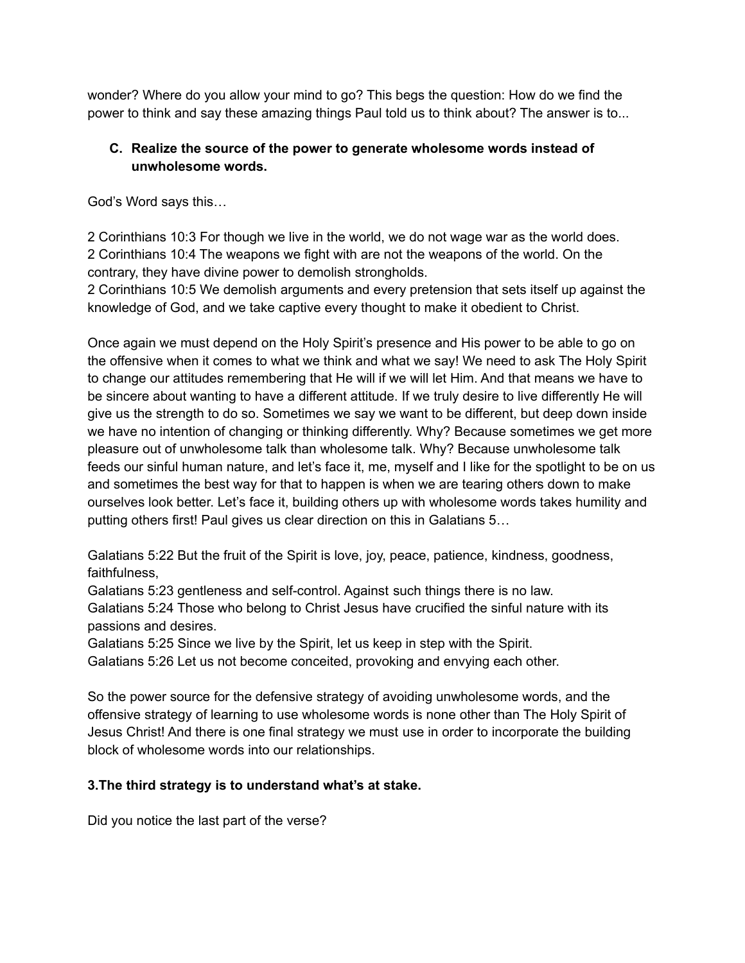wonder? Where do you allow your mind to go? This begs the question: How do we find the power to think and say these amazing things Paul told us to think about? The answer is to...

### **C. Realize the source of the power to generate wholesome words instead of unwholesome words.**

God's Word says this…

2 Corinthians 10:3 For though we live in the world, we do not wage war as the world does. 2 Corinthians 10:4 The weapons we fight with are not the weapons of the world. On the contrary, they have divine power to demolish strongholds.

2 Corinthians 10:5 We demolish arguments and every pretension that sets itself up against the knowledge of God, and we take captive every thought to make it obedient to Christ.

Once again we must depend on the Holy Spirit's presence and His power to be able to go on the offensive when it comes to what we think and what we say! We need to ask The Holy Spirit to change our attitudes remembering that He will if we will let Him. And that means we have to be sincere about wanting to have a different attitude. If we truly desire to live differently He will give us the strength to do so. Sometimes we say we want to be different, but deep down inside we have no intention of changing or thinking differently. Why? Because sometimes we get more pleasure out of unwholesome talk than wholesome talk. Why? Because unwholesome talk feeds our sinful human nature, and let's face it, me, myself and I like for the spotlight to be on us and sometimes the best way for that to happen is when we are tearing others down to make ourselves look better. Let's face it, building others up with wholesome words takes humility and putting others first! Paul gives us clear direction on this in Galatians 5…

Galatians 5:22 But the fruit of the Spirit is love, joy, peace, patience, kindness, goodness, faithfulness,

Galatians 5:23 gentleness and self-control. Against such things there is no law.

Galatians 5:24 Those who belong to Christ Jesus have crucified the sinful nature with its passions and desires.

Galatians 5:25 Since we live by the Spirit, let us keep in step with the Spirit.

Galatians 5:26 Let us not become conceited, provoking and envying each other.

So the power source for the defensive strategy of avoiding unwholesome words, and the offensive strategy of learning to use wholesome words is none other than The Holy Spirit of Jesus Christ! And there is one final strategy we must use in order to incorporate the building block of wholesome words into our relationships.

### **3.The third strategy is to understand what's at stake.**

Did you notice the last part of the verse?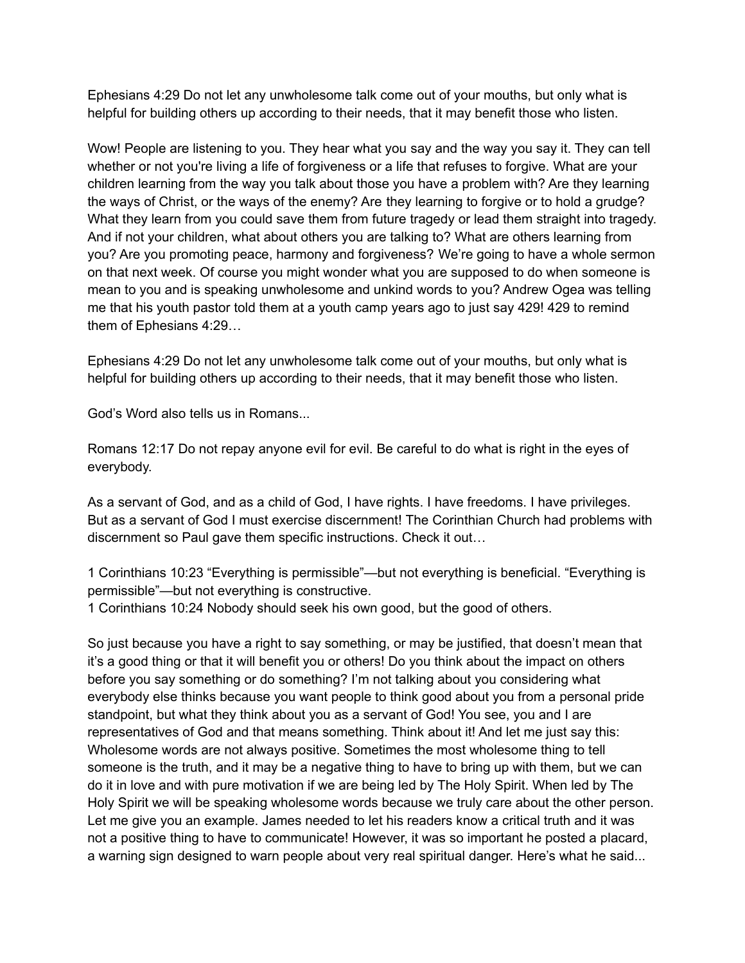Ephesians 4:29 Do not let any unwholesome talk come out of your mouths, but only what is helpful for building others up according to their needs, that it may benefit those who listen.

Wow! People are listening to you. They hear what you say and the way you say it. They can tell whether or not you're living a life of forgiveness or a life that refuses to forgive. What are your children learning from the way you talk about those you have a problem with? Are they learning the ways of Christ, or the ways of the enemy? Are they learning to forgive or to hold a grudge? What they learn from you could save them from future tragedy or lead them straight into tragedy. And if not your children, what about others you are talking to? What are others learning from you? Are you promoting peace, harmony and forgiveness? We're going to have a whole sermon on that next week. Of course you might wonder what you are supposed to do when someone is mean to you and is speaking unwholesome and unkind words to you? Andrew Ogea was telling me that his youth pastor told them at a youth camp years ago to just say 429! 429 to remind them of Ephesians 4:29…

Ephesians 4:29 Do not let any unwholesome talk come out of your mouths, but only what is helpful for building others up according to their needs, that it may benefit those who listen.

God's Word also tells us in Romans...

Romans 12:17 Do not repay anyone evil for evil. Be careful to do what is right in the eyes of everybody.

As a servant of God, and as a child of God, I have rights. I have freedoms. I have privileges. But as a servant of God I must exercise discernment! The Corinthian Church had problems with discernment so Paul gave them specific instructions. Check it out…

1 Corinthians 10:23 "Everything is permissible"—but not everything is beneficial. "Everything is permissible"—but not everything is constructive.

1 Corinthians 10:24 Nobody should seek his own good, but the good of others.

So just because you have a right to say something, or may be justified, that doesn't mean that it's a good thing or that it will benefit you or others! Do you think about the impact on others before you say something or do something? I'm not talking about you considering what everybody else thinks because you want people to think good about you from a personal pride standpoint, but what they think about you as a servant of God! You see, you and I are representatives of God and that means something. Think about it! And let me just say this: Wholesome words are not always positive. Sometimes the most wholesome thing to tell someone is the truth, and it may be a negative thing to have to bring up with them, but we can do it in love and with pure motivation if we are being led by The Holy Spirit. When led by The Holy Spirit we will be speaking wholesome words because we truly care about the other person. Let me give you an example. James needed to let his readers know a critical truth and it was not a positive thing to have to communicate! However, it was so important he posted a placard, a warning sign designed to warn people about very real spiritual danger. Here's what he said...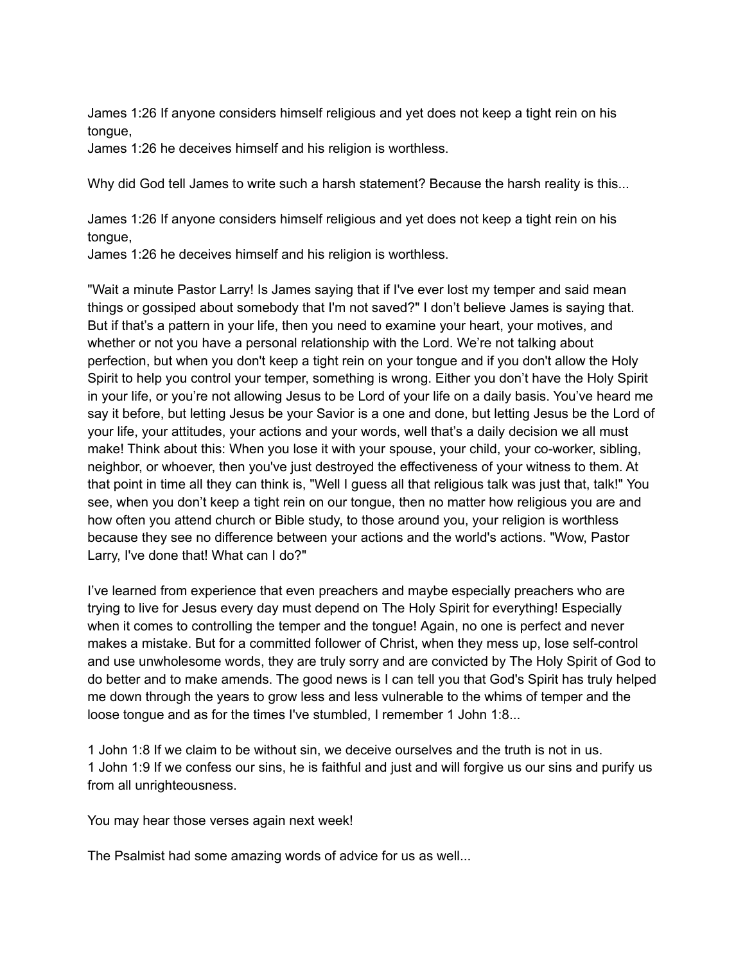James 1:26 If anyone considers himself religious and yet does not keep a tight rein on his tongue,

James 1:26 he deceives himself and his religion is worthless.

Why did God tell James to write such a harsh statement? Because the harsh reality is this...

James 1:26 If anyone considers himself religious and yet does not keep a tight rein on his tongue,

James 1:26 he deceives himself and his religion is worthless.

"Wait a minute Pastor Larry! Is James saying that if I've ever lost my temper and said mean things or gossiped about somebody that I'm not saved?" I don't believe James is saying that. But if that's a pattern in your life, then you need to examine your heart, your motives, and whether or not you have a personal relationship with the Lord. We're not talking about perfection, but when you don't keep a tight rein on your tongue and if you don't allow the Holy Spirit to help you control your temper, something is wrong. Either you don't have the Holy Spirit in your life, or you're not allowing Jesus to be Lord of your life on a daily basis. You've heard me say it before, but letting Jesus be your Savior is a one and done, but letting Jesus be the Lord of your life, your attitudes, your actions and your words, well that's a daily decision we all must make! Think about this: When you lose it with your spouse, your child, your co-worker, sibling, neighbor, or whoever, then you've just destroyed the effectiveness of your witness to them. At that point in time all they can think is, "Well I guess all that religious talk was just that, talk!" You see, when you don't keep a tight rein on our tongue, then no matter how religious you are and how often you attend church or Bible study, to those around you, your religion is worthless because they see no difference between your actions and the world's actions. "Wow, Pastor Larry, I've done that! What can I do?"

I've learned from experience that even preachers and maybe especially preachers who are trying to live for Jesus every day must depend on The Holy Spirit for everything! Especially when it comes to controlling the temper and the tongue! Again, no one is perfect and never makes a mistake. But for a committed follower of Christ, when they mess up, lose self-control and use unwholesome words, they are truly sorry and are convicted by The Holy Spirit of God to do better and to make amends. The good news is I can tell you that God's Spirit has truly helped me down through the years to grow less and less vulnerable to the whims of temper and the loose tongue and as for the times I've stumbled, I remember 1 John 1:8...

1 John 1:8 If we claim to be without sin, we deceive ourselves and the truth is not in us. 1 John 1:9 If we confess our sins, he is faithful and just and will forgive us our sins and purify us from all unrighteousness.

You may hear those verses again next week!

The Psalmist had some amazing words of advice for us as well...